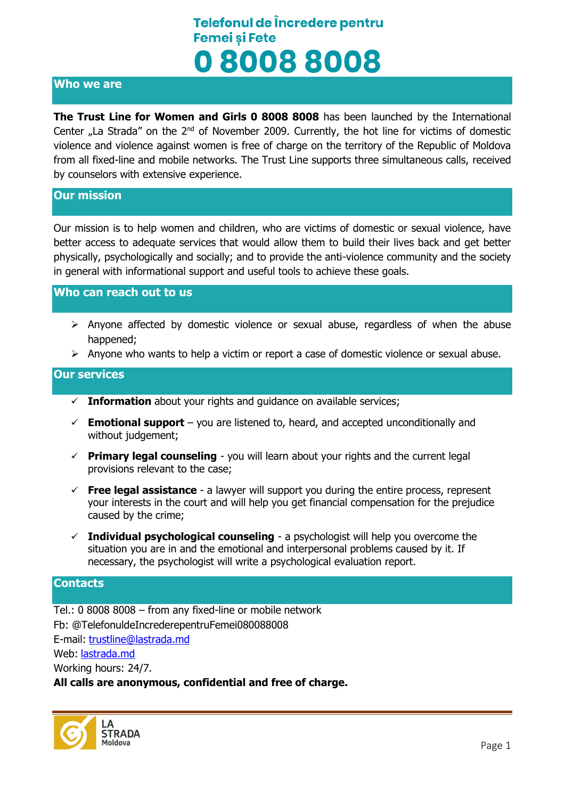### **Who we are**

**The Trust Line for Women and Girls 0 8008 8008** has been launched by the International Center  $n$  La Strada" on the  $2^{nd}$  of November 2009. Currently, the hot line for victims of domestic violence and violence against women is free of charge on the territory of the Republic of Moldova from all fixed-line and mobile networks. The Trust Line supports three simultaneous calls, received by counselors with extensive experience.

### **Our mission**

Our mission is to help women and children, who are victims of domestic or sexual violence, have better access to adequate services that would allow them to build their lives back and get better physically, psychologically and socially; and to provide the anti-violence community and the society in general with informational support and useful tools to achieve these goals.

#### **Who can reach out to us**

- $\triangleright$  Anyone affected by domestic violence or sexual abuse, regardless of when the abuse happened;
- $\triangleright$  Anyone who wants to help a victim or report a case of domestic violence or sexual abuse.

### **Our services**

- $\checkmark$  **Information** about your rights and quidance on available services;
- $\checkmark$  **Emotional support** you are listened to, heard, and accepted unconditionally and without judgement;
- $\checkmark$  **Primary legal counseling** you will learn about your rights and the current legal provisions relevant to the case;
- **Free legal assistance** a lawyer will support you during the entire process, represent your interests in the court and will help you get financial compensation for the prejudice caused by the crime;
- **Individual psychological counseling** a psychologist will help you overcome the situation you are in and the emotional and interpersonal problems caused by it. If necessary, the psychologist will write a psychological evaluation report.

#### **Contacts**

Tel.: 0 8008 8008 – from any fixed-line or mobile network Fb: @TelefonuldeIncrederepentruFemei080088008 E-mail: [trustline@lastrada.md](mailto:trustline@lastrada.md) Web: [lastrada.md](http://lastrada.md/) Working hours: 24/7.

**All calls are anonymous, confidential and free of charge.**

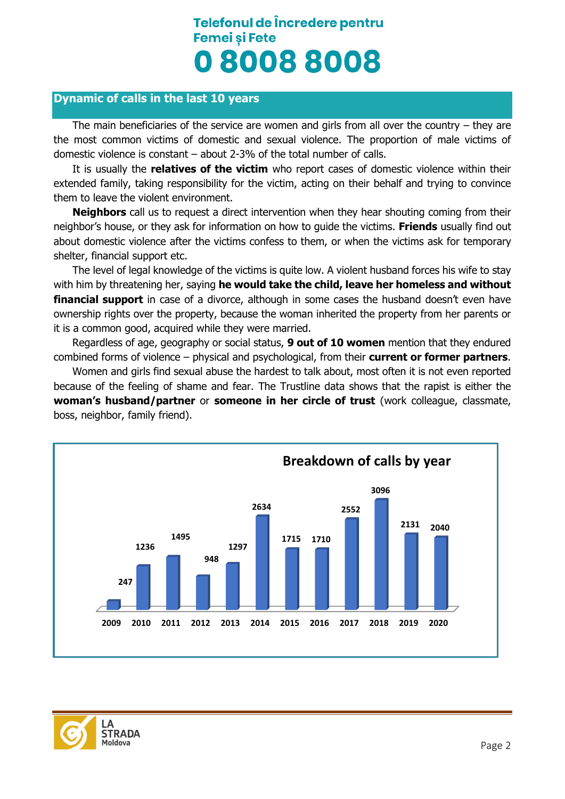### **Dynamic of calls in the last 10 years**

The main beneficiaries of the service are women and girls from all over the country – they are the most common victims of domestic and sexual violence. The proportion of male victims of domestic violence is constant – about 2-3% of the total number of calls.

It is usually the **relatives of the victim** who report cases of domestic violence within their extended family, taking responsibility for the victim, acting on their behalf and trying to convince them to leave the violent environment.

**Neighbors** call us to request a direct intervention when they hear shouting coming from their neighbor's house, or they ask for information on how to guide the victims. **Friends** usually find out about domestic violence after the victims confess to them, or when the victims ask for temporary shelter, financial support etc.

The level of legal knowledge of the victims is quite low. A violent husband forces his wife to stay with him by threatening her, saying **he would take the child, leave her homeless and without financial support** in case of a divorce, although in some cases the husband doesn't even have ownership rights over the property, because the woman inherited the property from her parents or it is a common good, acquired while they were married.

Regardless of age, geography or social status, **9 out of 10 women** mention that they endured combined forms of violence – physical and psychological, from their **current or former partners**.

Women and girls find sexual abuse the hardest to talk about, most often it is not even reported because of the feeling of shame and fear. The Trustline data shows that the rapist is either the **woman's husband/partner** or **someone in her circle of trust** (work colleague, classmate, boss, neighbor, family friend).



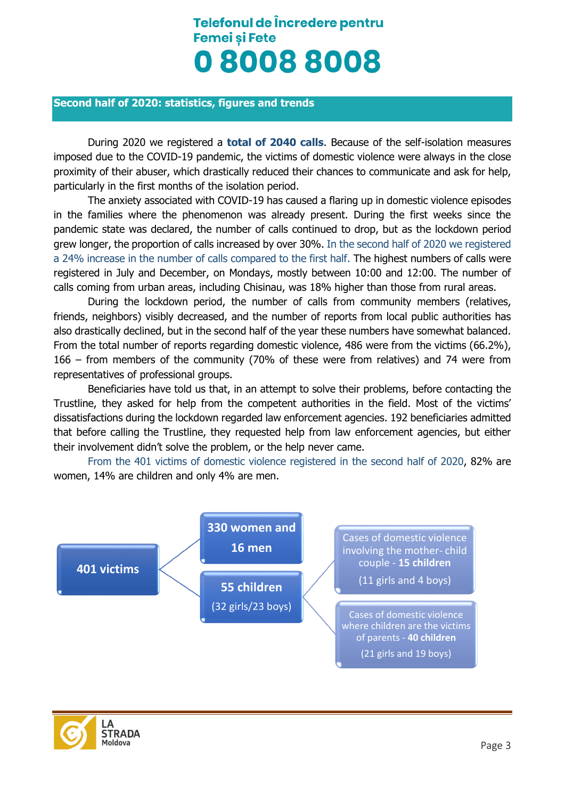#### **Second half of 2020: statistics, figures and trends**

During 2020 we registered a **total of 2040 calls**. Because of the self-isolation measures imposed due to the COVID-19 pandemic, the victims of domestic violence were always in the close proximity of their abuser, which drastically reduced their chances to communicate and ask for help, particularly in the first months of the isolation period.

The anxiety associated with COVID-19 has caused a flaring up in domestic violence episodes in the families where the phenomenon was already present. During the first weeks since the pandemic state was declared, the number of calls continued to drop, but as the lockdown period grew longer, the proportion of calls increased by over 30%. In the second half of 2020 we registered a 24% increase in the number of calls compared to the first half. The highest numbers of calls were registered in July and December, on Mondays, mostly between 10:00 and 12:00. The number of calls coming from urban areas, including Chisinau, was 18% higher than those from rural areas.

During the lockdown period, the number of calls from community members (relatives, friends, neighbors) visibly decreased, and the number of reports from local public authorities has also drastically declined, but in the second half of the year these numbers have somewhat balanced. From the total number of reports regarding domestic violence, 486 were from the victims (66.2%), 166 – from members of the community (70% of these were from relatives) and 74 were from representatives of professional groups.

Beneficiaries have told us that, in an attempt to solve their problems, before contacting the Trustline, they asked for help from the competent authorities in the field. Most of the victims' dissatisfactions during the lockdown regarded law enforcement agencies. 192 beneficiaries admitted that before calling the Trustline, they requested help from law enforcement agencies, but either their involvement didn't solve the problem, or the help never came.

From the 401 victims of domestic violence registered in the second half of 2020, 82% are women, 14% are children and only 4% are men.